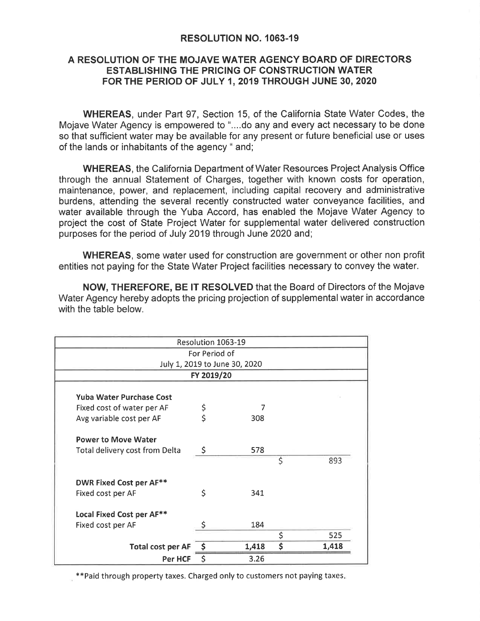## RESOLUTION NO. 1063-19

## A RESOLUTION OF THE MOJAVE WATER AGENCY BOARD OF DIRECTORS ESTABLISHING THE PRICING OF CONSTRUCTION WATER FORTHE PERIOD OF JULY 1,2019 THROUGH JUNE 30,2O2O

WHEREAS, under Part 97, Section 15, of the California State Water Codes, the Mojave Water Agency is empowered to "....do any and every act necessary to be done so that sufficient water may be available for any present or future beneficial use or uses of the lands or inhabitants of the agency " and;

WHEREAS, the California Department of Water Resources Project Analysis Office through the annual Statement of Charges, together with known costs for operation, maintenance, power, and replacement, including capital recovery and administrative burdens, attending the several recently constructed water conveyance facilities, and water available through the Yuba Accord, has enabled the Mojave Water Agency to project the cost of State Project Water for supplemental water delivered construction purposes for the period of July 2019 through June 2020 and;

WHEREAS, some water used for construction are government or other non profit entities not paying for the State Water Project facilities necessary to convey the water.

NOW, THEREFORE, BE lT RESOLVED that the Board of Directors of the Mojave Water Agency hereby adopts the pricing projection of supplemental water in accordance with the table below.

|                                       | Resolution 1063-19 |                               |             |
|---------------------------------------|--------------------|-------------------------------|-------------|
|                                       | For Period of      |                               |             |
|                                       |                    | July 1, 2019 to June 30, 2020 |             |
|                                       | FY 2019/20         |                               |             |
|                                       |                    |                               |             |
| <b>Yuba Water Purchase Cost</b>       |                    |                               |             |
| Fixed cost of water per AF            | \$                 | 7                             |             |
| Avg variable cost per AF              | \$                 | 308                           |             |
| <b>Power to Move Water</b>            |                    |                               |             |
| <b>Total delivery cost from Delta</b> | \$                 | 578                           |             |
|                                       |                    |                               | \$<br>893   |
| <b>DWR Fixed Cost per AF**</b>        |                    |                               |             |
| Fixed cost per AF                     | \$                 | 341                           |             |
| Local Fixed Cost per AF**             |                    |                               |             |
| Fixed cost per AF                     |                    | 184                           |             |
|                                       |                    |                               | \$<br>525   |
| <b>Total cost per AF</b>              |                    | 1,418                         | \$<br>1,418 |
| Per HCF                               | \$                 | 3.26                          |             |

\*\*Paid through property taxes. Charged only to customers not paying taxes